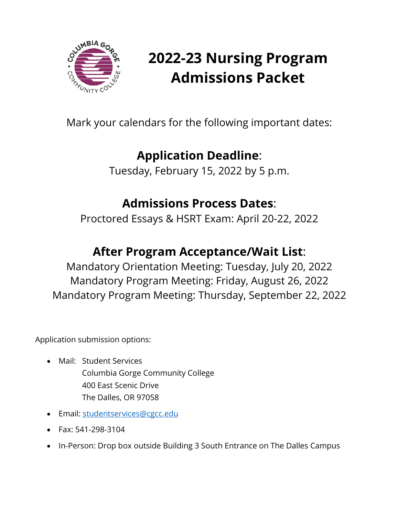

# **2022-23 Nursing Program Admissions Packet**

Mark your calendars for the following important dates:

## **Application Deadline**:

Tuesday, February 15, 2022 by 5 p.m.

### **Admissions Process Dates**:

Proctored Essays & HSRT Exam: April 20-22, 2022

## **After Program Acceptance/Wait List**:

Mandatory Orientation Meeting: Tuesday, July 20, 2022 Mandatory Program Meeting: Friday, August 26, 2022 Mandatory Program Meeting: Thursday, September 22, 2022

Application submission options:

- Mail: Student Services Columbia Gorge Community College 400 East Scenic Drive The Dalles, OR 97058
- Email: [studentservices@cgcc.edu](mailto:studentservices@cgcc.edu)
- Fax: 541-298-3104
- In-Person: Drop box outside Building 3 South Entrance on The Dalles Campus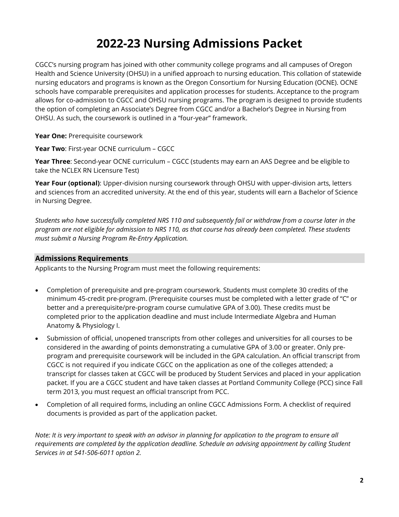### **2022-23 Nursing Admissions Packet**

CGCC's nursing program has joined with other community college programs and all campuses of Oregon Health and Science University (OHSU) in a unified approach to nursing education. This collation of statewide nursing educators and programs is known as the Oregon Consortium for Nursing Education (OCNE). OCNE schools have comparable prerequisites and application processes for students. Acceptance to the program allows for co-admission to CGCC and OHSU nursing programs. The program is designed to provide students the option of completing an Associate's Degree from CGCC and/or a Bachelor's Degree in Nursing from OHSU. As such, the coursework is outlined in a "four-year" framework.

Year One: Prerequisite coursework

**Year Two**: First-year OCNE curriculum – CGCC

**Year Three**: Second-year OCNE curriculum – CGCC (students may earn an AAS Degree and be eligible to take the NCLEX RN Licensure Test)

Year Four (optional): Upper-division nursing coursework through OHSU with upper-division arts, letters and sciences from an accredited university. At the end of this year, students will earn a Bachelor of Science in Nursing Degree.

*Students who have successfully completed NRS 110 and subsequently fail or withdraw from a course later in the program are not eligible for admission to NRS 110, as that course has already been completed. These students must submit a Nursing Program Re-Entry Application.* 

#### **Admissions Requirements**

Applicants to the Nursing Program must meet the following requirements:

- Completion of prerequisite and pre-program coursework. Students must complete 30 credits of the minimum 45-credit pre-program. (Prerequisite courses must be completed with a letter grade of "C" or better and a prerequisite/pre-program course cumulative GPA of 3.00). These credits must be completed prior to the application deadline and must include Intermediate Algebra and Human Anatomy & Physiology I.
- Submission of official, unopened transcripts from other colleges and universities for all courses to be considered in the awarding of points demonstrating a cumulative GPA of 3.00 or greater. Only preprogram and prerequisite coursework will be included in the GPA calculation. An official transcript from CGCC is not required if you indicate CGCC on the application as one of the colleges attended; a transcript for classes taken at CGCC will be produced by Student Services and placed in your application packet. If you are a CGCC student and have taken classes at Portland Community College (PCC) since Fall term 2013, you must request an official transcript from PCC.
- Completion of all required forms, including an online CGCC Admissions Form. A checklist of required documents is provided as part of the application packet.

*Note: It is very important to speak with an advisor in planning for application to the program to ensure all requirements are completed by the application deadline. Schedule an advising appointment by calling Student Services in at 541-506-6011 option 2.*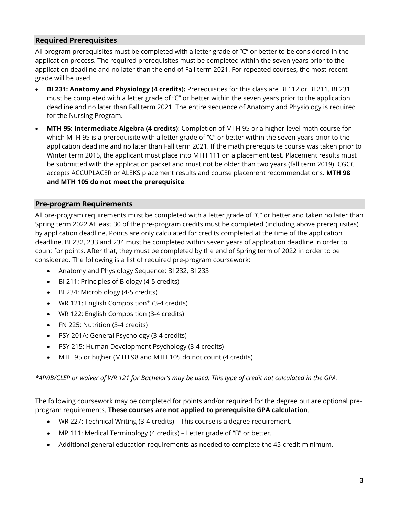#### **Required Prerequisites**

All program prerequisites must be completed with a letter grade of "C" or better to be considered in the application process. The required prerequisites must be completed within the seven years prior to the application deadline and no later than the end of Fall term 2021. For repeated courses, the most recent grade will be used.

- **BI 231: Anatomy and Physiology (4 credits):** Prerequisites for this class are BI 112 or BI 211. BI 231 must be completed with a letter grade of "C" or better within the seven years prior to the application deadline and no later than Fall term 2021. The entire sequence of Anatomy and Physiology is required for the Nursing Program.
- **MTH 95: Intermediate Algebra (4 credits)**: Completion of MTH 95 or a higher-level math course for which MTH 95 is a prerequisite with a letter grade of "C" or better within the seven years prior to the application deadline and no later than Fall term 2021. If the math prerequisite course was taken prior to Winter term 2015, the applicant must place into MTH 111 on a placement test. Placement results must be submitted with the application packet and must not be older than two years (fall term 2019). CGCC accepts ACCUPLACER or ALEKS placement results and course placement recommendations. **MTH 98 and MTH 105 do not meet the prerequisite**.

#### **Pre-program Requirements**

All pre-program requirements must be completed with a letter grade of "C" or better and taken no later than Spring term 2022 At least 30 of the pre-program credits must be completed (including above prerequisites) by application deadline. Points are only calculated for credits completed at the time of the application deadline. BI 232, 233 and 234 must be completed within seven years of application deadline in order to count for points. After that, they must be completed by the end of Spring term of 2022 in order to be considered. The following is a list of required pre-program coursework:

- Anatomy and Physiology Sequence: BI 232, BI 233
- BI 211: Principles of Biology (4-5 credits)
- BI 234: Microbiology (4-5 credits)
- WR 121: English Composition\* (3-4 credits)
- WR 122: English Composition (3-4 credits)
- FN 225: Nutrition (3-4 credits)
- PSY 201A: General Psychology (3-4 credits)
- PSY 215: Human Development Psychology (3-4 credits)
- MTH 95 or higher (MTH 98 and MTH 105 do not count (4 credits)

*\*AP/IB/CLEP or waiver of WR 121 for Bachelor's may be used. This type of credit not calculated in the GPA.*

The following coursework may be completed for points and/or required for the degree but are optional preprogram requirements. **These courses are not applied to prerequisite GPA calculation**.

- WR 227: Technical Writing (3-4 credits) This course is a degree requirement.
- MP 111: Medical Terminology (4 credits) Letter grade of "B" or better.
- Additional general education requirements as needed to complete the 45-credit minimum.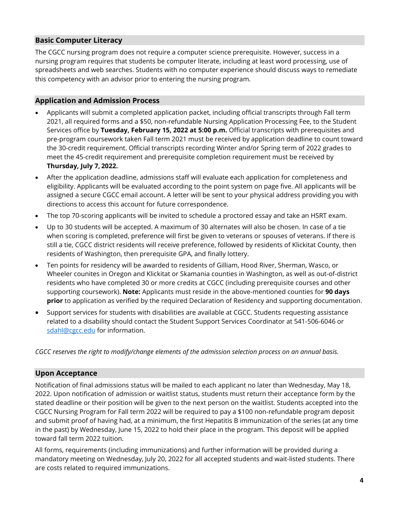#### **Basic Computer Literacy**

The CGCC nursing program does not require a computer science prerequisite. However, success in a nursing program requires that students be computer literate, including at least word processing, use of spreadsheets and web searches. Students with no computer experience should discuss ways to remediate this competency with an advisor prior to entering the nursing program.

#### **Application and Admission Process**

- Applicants will submit a completed application packet, including official transcripts through Fall term 2021, all required forms and a \$50, non-refundable Nursing Application Processing Fee, to the Student Services office by **Tuesday, February 15, 2022 at 5:00 p.m.** Official transcripts with prerequisites and pre-program coursework taken Fall term 2021 must be received by application deadline to count toward the 30-credit requirement. Official transcripts recording Winter and/or Spring term of 2022 grades to meet the 45-credit requirement and prerequisite completion requirement must be received by **Thursday, July 7, 2022.**
- After the application deadline, admissions staff will evaluate each application for completeness and eligibility. Applicants will be evaluated according to the point system on page five. All applicants will be assigned a secure CGCC email account. A letter will be sent to your physical address providing you with directions to access this account for future correspondence.
- The top 70-scoring applicants will be invited to schedule a proctored essay and take an HSRT exam.
- Up to 30 students will be accepted. A maximum of 30 alternates will also be chosen. In case of a tie when scoring is completed, preference will first be given to veterans or spouses of veterans. If there is still a tie, CGCC district residents will receive preference, followed by residents of Klickitat County, then residents of Washington, then prerequisite GPA, and finally lottery.
- Ten points for residency will be awarded to residents of Gilliam, Hood River, Sherman, Wasco, or Wheeler counites in Oregon and Klickitat or Skamania counties in Washington, as well as out-of-district residents who have completed 30 or more credits at CGCC (including prerequisite courses and other supporting coursework). **Note:** Applicants must reside in the above-mentioned counties for **90 days prior** to application as verified by the required Declaration of Residency and supporting documentation.
- Support services for students with disabilities are available at CGCC. Students requesting assistance related to a disability should contact the Student Support Services Coordinator at 541-506-6046 or [sdahl@cgcc.edu](mailto:sdahl@cgcc.edu) for information.

*CGCC reserves the right to modify/change elements of the admission selection process on an annual basis.* 

#### **Upon Acceptance**

Notification of final admissions status will be mailed to each applicant no later than Wednesday, May 18, 2022. Upon notification of admission or waitlist status, students must return their acceptance form by the stated deadline or their position will be given to the next person on the waitlist. Students accepted into the CGCC Nursing Program for Fall term 2022 will be required to pay a \$100 non-refundable program deposit and submit proof of having had, at a minimum, the first Hepatitis B immunization of the series (at any time in the past) by Wednesday, June 15, 2022 to hold their place in the program. This deposit will be applied toward fall term 2022 tuition.

All forms, requirements (including immunizations) and further information will be provided during a mandatory meeting on Wednesday, July 20, 2022 for all accepted students and wait-listed students. There are costs related to required immunizations.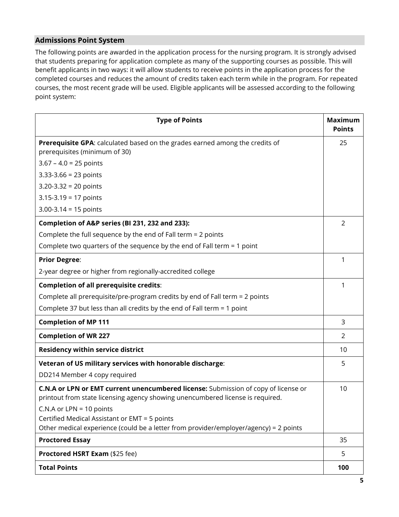#### **Admissions Point System**

The following points are awarded in the application process for the nursing program. It is strongly advised that students preparing for application complete as many of the supporting courses as possible. This will benefit applicants in two ways: it will allow students to receive points in the application process for the completed courses and reduces the amount of credits taken each term while in the program. For repeated courses, the most recent grade will be used. Eligible applicants will be assessed according to the following point system:

| <b>Type of Points</b>                                                                                                                                                                                                                               | <b>Maximum</b><br><b>Points</b> |
|-----------------------------------------------------------------------------------------------------------------------------------------------------------------------------------------------------------------------------------------------------|---------------------------------|
| Prerequisite GPA: calculated based on the grades earned among the credits of<br>prerequisites (minimum of 30)                                                                                                                                       | 25                              |
| $3.67 - 4.0 = 25$ points                                                                                                                                                                                                                            |                                 |
| $3.33 - 3.66 = 23$ points                                                                                                                                                                                                                           |                                 |
| $3.20 - 3.32 = 20$ points                                                                                                                                                                                                                           |                                 |
| $3.15 - 3.19 = 17$ points                                                                                                                                                                                                                           |                                 |
| $3.00 - 3.14 = 15$ points                                                                                                                                                                                                                           |                                 |
| Completion of A&P series (BI 231, 232 and 233):                                                                                                                                                                                                     | 2                               |
| Complete the full sequence by the end of Fall term = 2 points                                                                                                                                                                                       |                                 |
| Complete two quarters of the sequence by the end of Fall term = 1 point                                                                                                                                                                             |                                 |
| <b>Prior Degree:</b>                                                                                                                                                                                                                                | 1                               |
| 2-year degree or higher from regionally-accredited college                                                                                                                                                                                          |                                 |
| <b>Completion of all prerequisite credits:</b>                                                                                                                                                                                                      | 1                               |
| Complete all prerequisite/pre-program credits by end of Fall term = 2 points                                                                                                                                                                        |                                 |
| Complete 37 but less than all credits by the end of Fall term = 1 point                                                                                                                                                                             |                                 |
| <b>Completion of MP 111</b>                                                                                                                                                                                                                         | 3                               |
| <b>Completion of WR 227</b>                                                                                                                                                                                                                         | 2                               |
| <b>Residency within service district</b>                                                                                                                                                                                                            | 10                              |
| Veteran of US military services with honorable discharge:                                                                                                                                                                                           | 5                               |
| DD214 Member 4 copy required                                                                                                                                                                                                                        |                                 |
| C.N.A or LPN or EMT current unencumbered license: Submission of copy of license or<br>printout from state licensing agency showing unencumbered license is required.<br>C.N.A or LPN = $10$ points<br>Certified Medical Assistant or EMT = 5 points | 10                              |
| Other medical experience (could be a letter from provider/employer/agency) = 2 points                                                                                                                                                               |                                 |
| <b>Proctored Essay</b>                                                                                                                                                                                                                              | 35                              |
| Proctored HSRT Exam (\$25 fee)                                                                                                                                                                                                                      | 5                               |
| <b>Total Points</b>                                                                                                                                                                                                                                 | 100                             |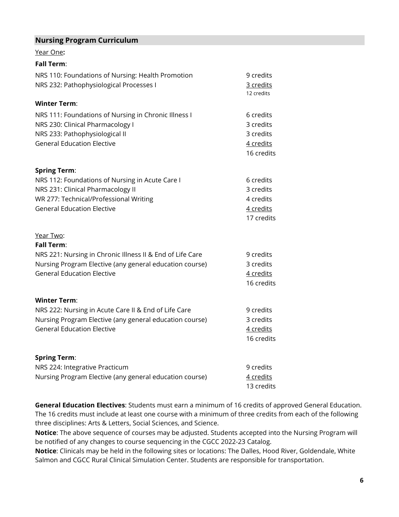#### **Nursing Program Curriculum**

Year One**:**

| <b>Fall Term:</b>                                                                                                                                                   |                                                                |
|---------------------------------------------------------------------------------------------------------------------------------------------------------------------|----------------------------------------------------------------|
| NRS 110: Foundations of Nursing: Health Promotion<br>NRS 232: Pathophysiological Processes I                                                                        | 9 credits<br>3 credits<br>12 credits                           |
| <b>Winter Term:</b>                                                                                                                                                 |                                                                |
| NRS 111: Foundations of Nursing in Chronic Illness I<br>NRS 230: Clinical Pharmacology I<br>NRS 233: Pathophysiological II<br><b>General Education Elective</b>     | 6 credits<br>3 credits<br>3 credits<br>4 credits<br>16 credits |
| <b>Spring Term:</b>                                                                                                                                                 |                                                                |
| NRS 112: Foundations of Nursing in Acute Care I<br>NRS 231: Clinical Pharmacology II<br>WR 277: Technical/Professional Writing<br><b>General Education Elective</b> | 6 credits<br>3 credits<br>4 credits<br>4 credits<br>17 credits |
| Year Two:                                                                                                                                                           |                                                                |
| <b>Fall Term:</b>                                                                                                                                                   |                                                                |
| NRS 221: Nursing in Chronic Illness II & End of Life Care<br>Nursing Program Elective (any general education course)<br><b>General Education Elective</b>           | 9 credits<br>3 credits<br>4 credits<br>16 credits              |
| <b>Winter Term:</b>                                                                                                                                                 |                                                                |
| NRS 222: Nursing in Acute Care II & End of Life Care<br>Nursing Program Elective (any general education course)<br><b>General Education Elective</b>                | 9 credits<br>3 credits<br>4 credits<br>16 credits              |

| <b>Spring Term:</b>                                     |            |
|---------------------------------------------------------|------------|
| NRS 224: Integrative Practicum                          | 9 credits  |
| Nursing Program Elective (any general education course) | 4 credits  |
|                                                         | 13 credits |

**General Education Electives**: Students must earn a minimum of 16 credits of approved General Education. The 16 credits must include at least one course with a minimum of three credits from each of the following three disciplines: Arts & Letters, Social Sciences, and Science.

**Notice**: The above sequence of courses may be adjusted. Students accepted into the Nursing Program will be notified of any changes to course sequencing in the CGCC 2022-23 Catalog.

**Notice**: Clinicals may be held in the following sites or locations: The Dalles, Hood River, Goldendale, White Salmon and CGCC Rural Clinical Simulation Center. Students are responsible for transportation.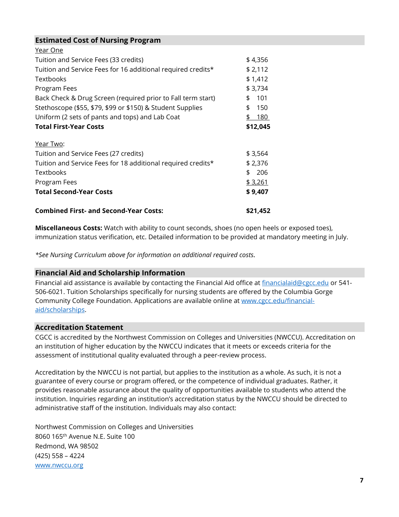#### **Estimated Cost of Nursing Program**

| <b>Combined First- and Second-Year Costs:</b>                | \$21.452  |
|--------------------------------------------------------------|-----------|
| <b>Total Second-Year Costs</b>                               | \$9,407   |
| Program Fees                                                 | \$3,261   |
| <b>Textbooks</b>                                             | 206<br>\$ |
| Tuition and Service Fees for 18 additional required credits* | \$2,376   |
| Tuition and Service Fees (27 credits)                        | \$3,564   |
| Year Two:                                                    |           |
| <b>Total First-Year Costs</b>                                | \$12,045  |
| Uniform (2 sets of pants and tops) and Lab Coat              | \$180     |
| Stethoscope (\$55, \$79, \$99 or \$150) & Student Supplies   | 150<br>\$ |
| Back Check & Drug Screen (required prior to Fall term start) | 101<br>\$ |
| Program Fees                                                 | \$3,734   |
| <b>Textbooks</b>                                             | \$1,412   |
| Tuition and Service Fees for 16 additional required credits* | \$2,112   |
| Tuition and Service Fees (33 credits)                        | \$4,356   |
| Year One                                                     |           |

**Miscellaneous Costs:** Watch with ability to count seconds, shoes (no open heels or exposed toes), immunization status verification, etc. Detailed information to be provided at mandatory meeting in July.

*\*See Nursing Curriculum above for information on additional required costs.* 

#### **Financial Aid and Scholarship Information**

Financial aid assistance is available by contacting the Financial Aid office at [financialaid@cgcc.edu](mailto:financialaid@cgcc.edu) or 541-506-6021. Tuition Scholarships specifically for nursing students are offered by the Columbia Gorge Community College Foundation. Applications are available online at [www.cgcc.edu/financial](http://www.cgcc.edu/financial-aid/scholarships)[aid/scholarships.](http://www.cgcc.edu/financial-aid/scholarships)

#### **Accreditation Statement**

CGCC is accredited by the Northwest Commission on Colleges and Universities (NWCCU). Accreditation on an institution of higher education by the NWCCU indicates that it meets or exceeds criteria for the assessment of institutional quality evaluated through a peer-review process.

Accreditation by the NWCCU is not partial, but applies to the institution as a whole. As such, it is not a guarantee of every course or program offered, or the competence of individual graduates. Rather, it provides reasonable assurance about the quality of opportunities available to students who attend the institution. Inquiries regarding an institution's accreditation status by the NWCCU should be directed to administrative staff of the institution. Individuals may also contact:

Northwest Commission on Colleges and Universities 8060 165th Avenue N.E. Suite 100 Redmond, WA 98502 (425) 558 – 4224 [www.nwccu.org](http://www.nwccu.org/)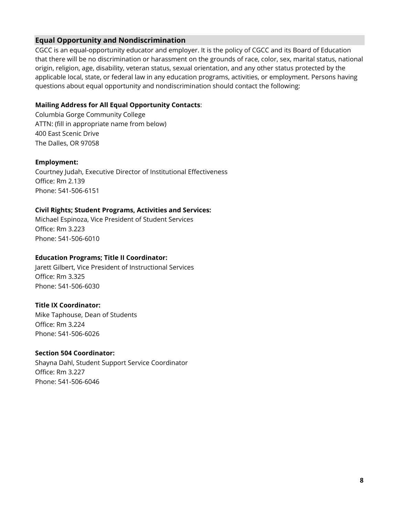#### **Equal Opportunity and Nondiscrimination**

CGCC is an equal-opportunity educator and employer. It is the policy of CGCC and its Board of Education that there will be no discrimination or harassment on the grounds of race, color, sex, marital status, national origin, religion, age, disability, veteran status, sexual orientation, and any other status protected by the applicable local, state, or federal law in any education programs, activities, or employment. Persons having questions about equal opportunity and nondiscrimination should contact the following:

#### **Mailing Address for All Equal Opportunity Contacts**:

Columbia Gorge Community College ATTN: (fill in appropriate name from below) 400 East Scenic Drive The Dalles, OR 97058

#### **Employment:**

Courtney Judah, Executive Director of Institutional Effectiveness Office: Rm 2.139 Phone: 541-506-6151

#### **Civil Rights; Student Programs, Activities and Services:**

Michael Espinoza, Vice President of Student Services Office: Rm 3.223 Phone: 541-506-6010

#### **Education Programs; Title II Coordinator:**

Jarett Gilbert, Vice President of Instructional Services Office: Rm 3.325 Phone: 541-506-6030

#### **Title IX Coordinator:**

Mike Taphouse, Dean of Students Office: Rm 3.224 Phone: 541-506-6026

#### **Section 504 Coordinator:**

Shayna Dahl, Student Support Service Coordinator Office: Rm 3.227 Phone: 541-506-6046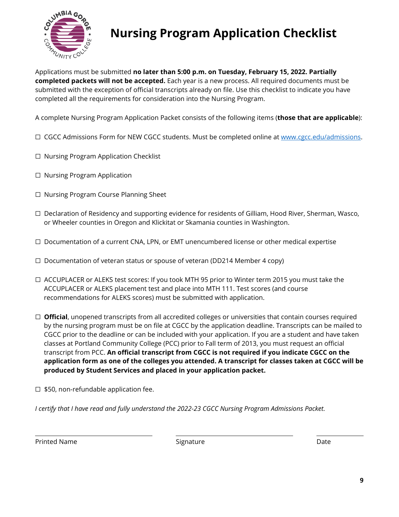

# **Nursing Program Application Checklist**

Applications must be submitted **no later than 5:00 p.m. on Tuesday, February 15, 2022. Partially completed packets will not be accepted.** Each year is a new process. All required documents must be submitted with the exception of official transcripts already on file. Use this checklist to indicate you have completed all the requirements for consideration into the Nursing Program.

A complete Nursing Program Application Packet consists of the following items (**those that are applicable**):

- □ CGCC Admissions Form for NEW CGCC students. Must be completed online at [www.cgcc.edu/admissions.](http://www.cgcc.edu/admissions)
- ☐ Nursing Program Application Checklist
- ☐ Nursing Program Application
- ☐ Nursing Program Course Planning Sheet
- ☐ Declaration of Residency and supporting evidence for residents of Gilliam, Hood River, Sherman, Wasco, or Wheeler counties in Oregon and Klickitat or Skamania counties in Washington.
- ☐ Documentation of a current CNA, LPN, or EMT unencumbered license or other medical expertise
- $\Box$  Documentation of veteran status or spouse of veteran (DD214 Member 4 copy)
- ☐ ACCUPLACER or ALEKS test scores: If you took MTH 95 prior to Winter term 2015 you must take the ACCUPLACER or ALEKS placement test and place into MTH 111. Test scores (and course recommendations for ALEKS scores) must be submitted with application.
- □ **Official**, unopened transcripts from all accredited colleges or universities that contain courses required by the nursing program must be on file at CGCC by the application deadline. Transcripts can be mailed to CGCC prior to the deadline or can be included with your application. If you are a student and have taken classes at Portland Community College (PCC) prior to Fall term of 2013, you must request an official transcript from PCC. **An official transcript from CGCC is not required if you indicate CGCC on the application form as one of the colleges you attended. A transcript for classes taken at CGCC will be produced by Student Services and placed in your application packet.**
- ☐ \$50, non-refundable application fee.

*I certify that I have read and fully understand the 2022-23 CGCC Nursing Program Admissions Packet.* 

Printed Name **Signature Signature Signature Signature Date Date**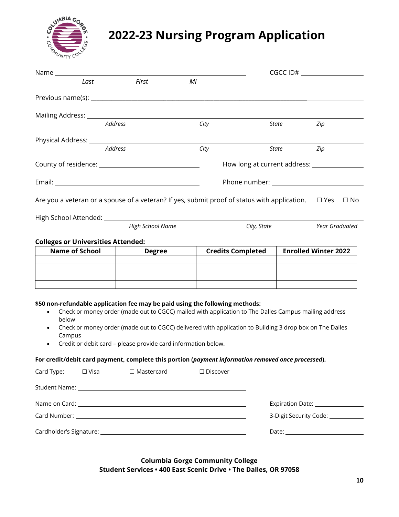

# **2022-23 Nursing Program Application**

|                                                                                                                           |                                                               |                                                                                                                                                                                                                 |             | $CGCC$ $ID#$ $\qquad \qquad$      |
|---------------------------------------------------------------------------------------------------------------------------|---------------------------------------------------------------|-----------------------------------------------------------------------------------------------------------------------------------------------------------------------------------------------------------------|-------------|-----------------------------------|
| Last                                                                                                                      | First                                                         | MI                                                                                                                                                                                                              |             |                                   |
|                                                                                                                           |                                                               |                                                                                                                                                                                                                 |             |                                   |
| Mailing Address: __________________                                                                                       |                                                               |                                                                                                                                                                                                                 |             |                                   |
|                                                                                                                           | Address                                                       | City                                                                                                                                                                                                            | State       | Zip                               |
|                                                                                                                           |                                                               |                                                                                                                                                                                                                 |             |                                   |
|                                                                                                                           | <b>Address</b>                                                | City                                                                                                                                                                                                            | State       | Zip                               |
|                                                                                                                           |                                                               |                                                                                                                                                                                                                 |             |                                   |
|                                                                                                                           |                                                               |                                                                                                                                                                                                                 |             |                                   |
| Are you a veteran or a spouse of a veteran? If yes, submit proof of status with application. $\square$ Yes $\square$ No   |                                                               |                                                                                                                                                                                                                 |             |                                   |
|                                                                                                                           |                                                               |                                                                                                                                                                                                                 |             |                                   |
|                                                                                                                           | High School Name                                              |                                                                                                                                                                                                                 | City, State | Year Graduated                    |
| <b>Colleges or Universities Attended:</b>                                                                                 |                                                               |                                                                                                                                                                                                                 |             |                                   |
| <b>Name of School</b>                                                                                                     | <b>Degree</b>                                                 | <b>Credits Completed</b>                                                                                                                                                                                        |             | <b>Enrolled Winter 2022</b>       |
|                                                                                                                           |                                                               |                                                                                                                                                                                                                 |             |                                   |
|                                                                                                                           |                                                               |                                                                                                                                                                                                                 |             |                                   |
|                                                                                                                           |                                                               |                                                                                                                                                                                                                 |             |                                   |
| \$50 non-refundable application fee may be paid using the following methods:<br>$\bullet$<br>below<br>$\bullet$<br>Campus | Credit or debit card - please provide card information below. | Check or money order (made out to CGCC) mailed with application to The Dalles Campus mailing address<br>Check or money order (made out to CGCC) delivered with application to Building 3 drop box on The Dalles |             |                                   |
| For credit/debit card payment, complete this portion (payment information removed once processed).                        |                                                               |                                                                                                                                                                                                                 |             |                                   |
| Card Type:<br>$\Box$ Visa                                                                                                 | $\Box$ Mastercard                                             | □ Discover                                                                                                                                                                                                      |             |                                   |
|                                                                                                                           |                                                               |                                                                                                                                                                                                                 |             |                                   |
|                                                                                                                           |                                                               |                                                                                                                                                                                                                 |             |                                   |
|                                                                                                                           |                                                               |                                                                                                                                                                                                                 |             | 3-Digit Security Code: __________ |

eris de l'anti-marial de l'anti-marial de l'anti-marial de l'anti-marial de l'anti-marial de l'anti-marial de l<br>Date: <u>Date: Date: Date: Date: Date: Date: Date: Date: Date: Date: Date: Date: Date: Date: Date: Date: Date: D</u>

#### **Columbia Gorge Community College Student Services • 400 East Scenic Drive • The Dalles, OR 97058**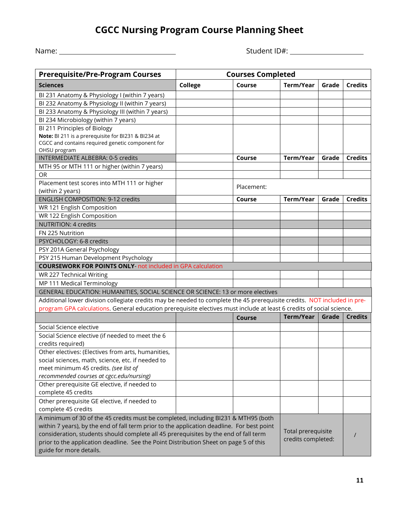### **CGCC Nursing Program Course Planning Sheet**

| Name: |  |
|-------|--|
|       |  |

Name: Student ID#:

| <b>Prerequisite/Pre-Program Courses</b>                                                                                  | <b>Courses Completed</b> |                    |                    |       |                |
|--------------------------------------------------------------------------------------------------------------------------|--------------------------|--------------------|--------------------|-------|----------------|
| <b>Sciences</b>                                                                                                          | College                  | Course             | Term/Year          | Grade | <b>Credits</b> |
| BI 231 Anatomy & Physiology I (within 7 years)                                                                           |                          |                    |                    |       |                |
| BI 232 Anatomy & Physiology II (within 7 years)                                                                          |                          |                    |                    |       |                |
| BI 233 Anatomy & Physiology III (within 7 years)                                                                         |                          |                    |                    |       |                |
| BI 234 Microbiology (within 7 years)                                                                                     |                          |                    |                    |       |                |
| BI 211 Principles of Biology                                                                                             |                          |                    |                    |       |                |
| Note: BI 211 is a prerequisite for BI231 & BI234 at                                                                      |                          |                    |                    |       |                |
| CGCC and contains required genetic component for                                                                         |                          |                    |                    |       |                |
| OHSU program                                                                                                             |                          |                    |                    |       |                |
| <b>INTERMEDIATE ALBEBRA: 0-5 credits</b>                                                                                 |                          | Course             | Term/Year          | Grade | <b>Credits</b> |
| MTH 95 or MTH 111 or higher (within 7 years)                                                                             |                          |                    |                    |       |                |
| <b>OR</b>                                                                                                                |                          |                    |                    |       |                |
| Placement test scores into MTH 111 or higher                                                                             |                          | Placement:         |                    |       |                |
| (within 2 years)                                                                                                         |                          |                    |                    |       |                |
| <b>ENGLISH COMPOSITION: 9-12 credits</b>                                                                                 |                          | Course             | Term/Year          | Grade | <b>Credits</b> |
| WR 121 English Composition                                                                                               |                          |                    |                    |       |                |
| WR 122 English Composition                                                                                               |                          |                    |                    |       |                |
| NUTRITION: 4 credits                                                                                                     |                          |                    |                    |       |                |
| FN 225 Nutrition                                                                                                         |                          |                    |                    |       |                |
| PSYCHOLOGY: 6-8 credits                                                                                                  |                          |                    |                    |       |                |
| PSY 201A General Psychology                                                                                              |                          |                    |                    |       |                |
| PSY 215 Human Development Psychology                                                                                     |                          |                    |                    |       |                |
| <b>COURSEWORK FOR POINTS ONLY-not included in GPA calculation</b>                                                        |                          |                    |                    |       |                |
| WR 227 Technical Writing                                                                                                 |                          |                    |                    |       |                |
| MP 111 Medical Terminology                                                                                               |                          |                    |                    |       |                |
| GENERAL EDUCATION: HUMANITIES, SOCIAL SCIENCE OR SCIENCE: 13 or more electives                                           |                          |                    |                    |       |                |
| Additional lower division collegiate credits may be needed to complete the 45 prerequisite credits. NOT included in pre- |                          |                    |                    |       |                |
| program GPA calculations. General education prerequisite electives must include at least 6 credits of social science.    |                          |                    |                    |       |                |
|                                                                                                                          |                          | <b>Course</b>      | Term/Year          | Grade | <b>Credits</b> |
| Social Science elective                                                                                                  |                          |                    |                    |       |                |
| Social Science elective (if needed to meet the 6                                                                         |                          |                    |                    |       |                |
| credits required)                                                                                                        |                          |                    |                    |       |                |
| Other electives: (Electives from arts, humanities,                                                                       |                          |                    |                    |       |                |
| social sciences, math, science, etc. if needed to                                                                        |                          |                    |                    |       |                |
| meet minimum 45 credits. (see list of                                                                                    |                          |                    |                    |       |                |
| recommended courses at cgcc.edu/nursing)                                                                                 |                          |                    |                    |       |                |
| Other prerequisite GE elective, if needed to                                                                             |                          |                    |                    |       |                |
| complete 45 credits                                                                                                      |                          |                    |                    |       |                |
| Other prerequisite GE elective, if needed to                                                                             |                          |                    |                    |       |                |
| complete 45 credits                                                                                                      |                          |                    |                    |       |                |
| A minimum of 30 of the 45 credits must be completed, including BI231 & MTH95 (both                                       |                          |                    |                    |       |                |
| within 7 years), by the end of fall term prior to the application deadline. For best point                               |                          |                    |                    |       |                |
| consideration, students should complete all 45 prerequisites by the end of fall term                                     |                          |                    | Total prerequisite |       |                |
| prior to the application deadline. See the Point Distribution Sheet on page 5 of this                                    |                          | credits completed: |                    |       |                |
| guide for more details.                                                                                                  |                          |                    |                    |       |                |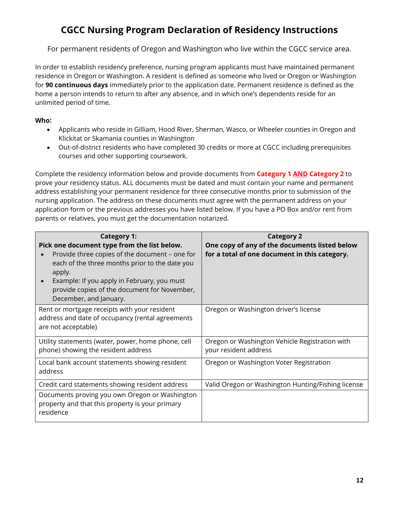### **CGCC Nursing Program Declaration of Residency Instructions**

For permanent residents of Oregon and Washington who live within the CGCC service area.

In order to establish residency preference, nursing program applicants must have maintained permanent residence in Oregon or Washington. A resident is defined as someone who lived or Oregon or Washington for **90 continuous days** immediately prior to the application date. Permanent residence is defined as the home a person intends to return to after any absence, and in which one's dependents reside for an unlimited period of time.

#### **Who:**

- Applicants who reside in Gilliam, Hood River, Sherman, Wasco, or Wheeler counties in Oregon and Klickitat or Skamania counties in Washington
- Out-of-district residents who have completed 30 credits or more at CGCC including prerequisites courses and other supporting coursework.

Complete the residency information below and provide documents from **Category 1 AND Category 2** to prove your residency status. ALL documents must be dated and must contain your name and permanent address establishing your permanent residence for three consecutive months prior to submission of the nursing application. The address on these documents must agree with the permanent address on your application form or the previous addresses you have listed below. If you have a PO Box and/or rent from parents or relatives, you must get the documentation notarized.

| <b>Category 1:</b><br>Pick one document type from the list below.<br>Provide three copies of the document – one for<br>each of the three months prior to the date you<br>apply.<br>Example: If you apply in February, you must<br>provide copies of the document for November,<br>December, and January. | <b>Category 2</b><br>One copy of any of the documents listed below<br>for a total of one document in this category. |
|----------------------------------------------------------------------------------------------------------------------------------------------------------------------------------------------------------------------------------------------------------------------------------------------------------|---------------------------------------------------------------------------------------------------------------------|
| Rent or mortgage receipts with your resident<br>address and date of occupancy (rental agreements<br>are not acceptable)                                                                                                                                                                                  | Oregon or Washington driver's license                                                                               |
| Utility statements (water, power, home phone, cell<br>phone) showing the resident address                                                                                                                                                                                                                | Oregon or Washington Vehicle Registration with<br>your resident address                                             |
| Local bank account statements showing resident<br>address                                                                                                                                                                                                                                                | Oregon or Washington Voter Registration                                                                             |
| Credit card statements showing resident address                                                                                                                                                                                                                                                          | Valid Oregon or Washington Hunting/Fishing license                                                                  |
| Documents proving you own Oregon or Washington<br>property and that this property is your primary<br>residence                                                                                                                                                                                           |                                                                                                                     |